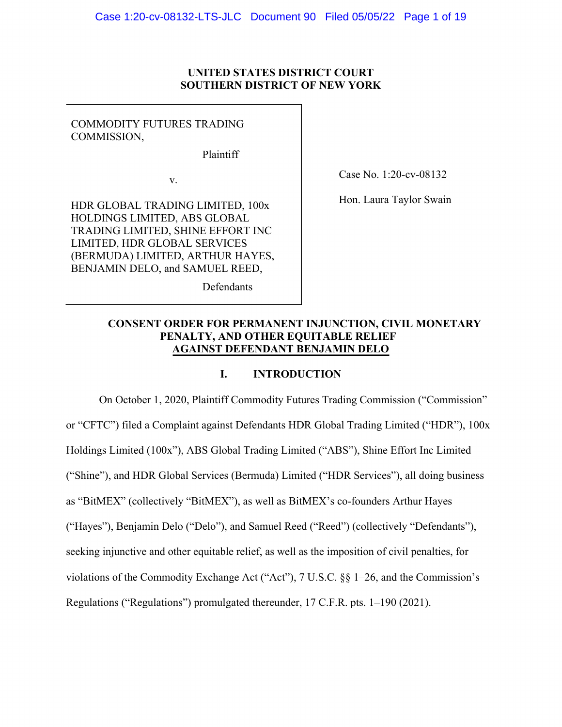# **UNITED STATES DISTRICT COURT SOUTHERN DISTRICT OF NEW YORK**

# COMMODITY FUTURES TRADING COMMISSION,

Plaintiff

Defendants

v.

HDR GLOBAL TRADING LIMITED, 100x HOLDINGS LIMITED, ABS GLOBAL TRADING LIMITED, SHINE EFFORT INC LIMITED, HDR GLOBAL SERVICES (BERMUDA) LIMITED, ARTHUR HAYES, BENJAMIN DELO, and SAMUEL REED,

Case No. 1:20-cv-08132

Hon. Laura Taylor Swain

# **CONSENT ORDER FOR PERMANENT INJUNCTION, CIVIL MONETARY PENALTY, AND OTHER EQUITABLE RELIEF AGAINST DEFENDANT BENJAMIN DELO**

# **I. INTRODUCTION**

On October 1, 2020, Plaintiff Commodity Futures Trading Commission ("Commission" or "CFTC") filed a Complaint against Defendants HDR Global Trading Limited ("HDR"), 100x Holdings Limited (100x"), ABS Global Trading Limited ("ABS"), Shine Effort Inc Limited ("Shine"), and HDR Global Services (Bermuda) Limited ("HDR Services"), all doing business as "BitMEX" (collectively "BitMEX"), as well as BitMEX's co-founders Arthur Hayes ("Hayes"), Benjamin Delo ("Delo"), and Samuel Reed ("Reed") (collectively "Defendants"), seeking injunctive and other equitable relief, as well as the imposition of civil penalties, for violations of the Commodity Exchange Act ("Act"), 7 U.S.C. §§ 1–26, and the Commission's Regulations ("Regulations") promulgated thereunder, 17 C.F.R. pts. 1–190 (2021).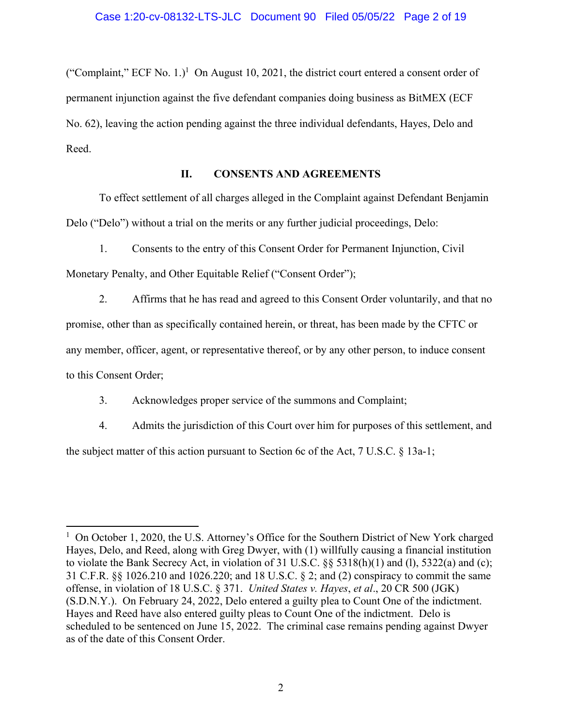("Complaint," ECF No. 1.)<sup>1</sup> On August 10, 2021, the district court entered a consent order of permanent injunction against the five defendant companies doing business as BitMEX (ECF No. 62), leaving the action pending against the three individual defendants, Hayes, Delo and Reed.

# **II. CONSENTS AND AGREEMENTS**

To effect settlement of all charges alleged in the Complaint against Defendant Benjamin Delo ("Delo") without a trial on the merits or any further judicial proceedings, Delo:

1. Consents to the entry of this Consent Order for Permanent Injunction, Civil Monetary Penalty, and Other Equitable Relief ("Consent Order");

2. Affirms that he has read and agreed to this Consent Order voluntarily, and that no promise, other than as specifically contained herein, or threat, has been made by the CFTC or any member, officer, agent, or representative thereof, or by any other person, to induce consent to this Consent Order;

3. Acknowledges proper service of the summons and Complaint;

4. Admits the jurisdiction of this Court over him for purposes of this settlement, and the subject matter of this action pursuant to Section 6c of the Act, 7 U.S.C. § 13a-1;

 $\overline{a}$ <sup>1</sup> On October 1, 2020, the U.S. Attorney's Office for the Southern District of New York charged Hayes, Delo, and Reed, along with Greg Dwyer, with (1) willfully causing a financial institution to violate the Bank Secrecy Act, in violation of 31 U.S.C. §§ 5318(h)(1) and (l), 5322(a) and (c); 31 C.F.R. §§ 1026.210 and 1026.220; and 18 U.S.C. § 2; and (2) conspiracy to commit the same offense, in violation of 18 U.S.C. § 371. *United States v. Hayes*, *et al*., 20 CR 500 (JGK) (S.D.N.Y.). On February 24, 2022, Delo entered a guilty plea to Count One of the indictment. Hayes and Reed have also entered guilty pleas to Count One of the indictment. Delo is scheduled to be sentenced on June 15, 2022. The criminal case remains pending against Dwyer as of the date of this Consent Order.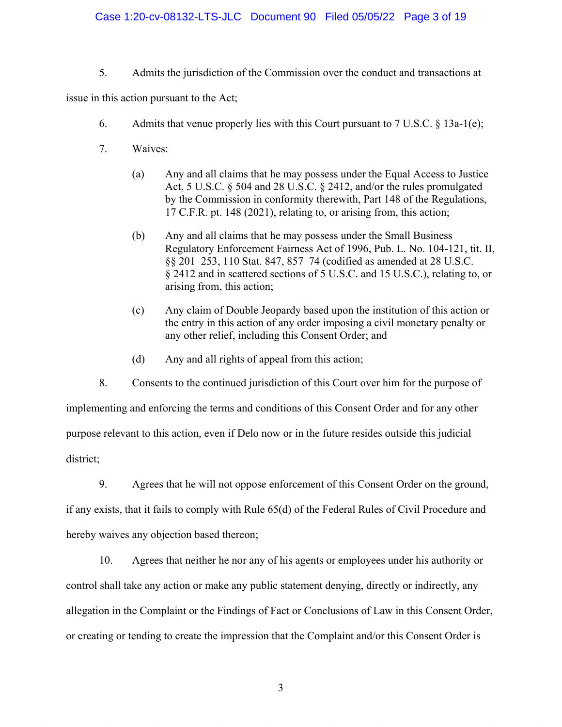# Case 1:20-cv-08132-LTS-JLC Document 90 Filed 05/05/22 Page 3 of 19

5. Admits the jurisdiction of the Commission over the conduct and transactions at

issue in this action pursuant to the Act;

- 6. Admits that venue properly lies with this Court pursuant to  $7 \text{ U.S.C. } § 13a-1(e);$
- 7. Waives:
	- (a) Any and all claims that he may possess under the Equal Access to Justice Act, 5 U.S.C. § 504 and 28 U.S.C. § 2412, and/or the rules promulgated by the Commission in conformity therewith, Part 148 of the Regulations, 17 C.F.R. pt. 148 (2021), relating to, or arising from, this action;
	- (b) Any and all claims that he may possess under the Small Business Regulatory Enforcement Fairness Act of 1996, Pub. L. No. 104-121, tit. II, §§ 201–253, 110 Stat. 847, 857–74 (codified as amended at 28 U.S.C. § 2412 and in scattered sections of 5 U.S.C. and 15 U.S.C.), relating to, or arising from, this action;
	- (c) Any claim of Double Jeopardy based upon the institution of this action or the entry in this action of any order imposing a civil monetary penalty or any other relief, including this Consent Order; and
	- (d) Any and all rights of appeal from this action;

8. Consents to the continued jurisdiction of this Court over him for the purpose of implementing and enforcing the terms and conditions of this Consent Order and for any other purpose relevant to this action, even if Delo now or in the future resides outside this judicial district;

9. Agrees that he will not oppose enforcement of this Consent Order on the ground, if any exists, that it fails to comply with Rule 65(d) of the Federal Rules of Civil Procedure and hereby waives any objection based thereon;

10. Agrees that neither he nor any of his agents or employees under his authority or control shall take any action or make any public statement denying, directly or indirectly, any allegation in the Complaint or the Findings of Fact or Conclusions of Law in this Consent Order, or creating or tending to create the impression that the Complaint and/or this Consent Order is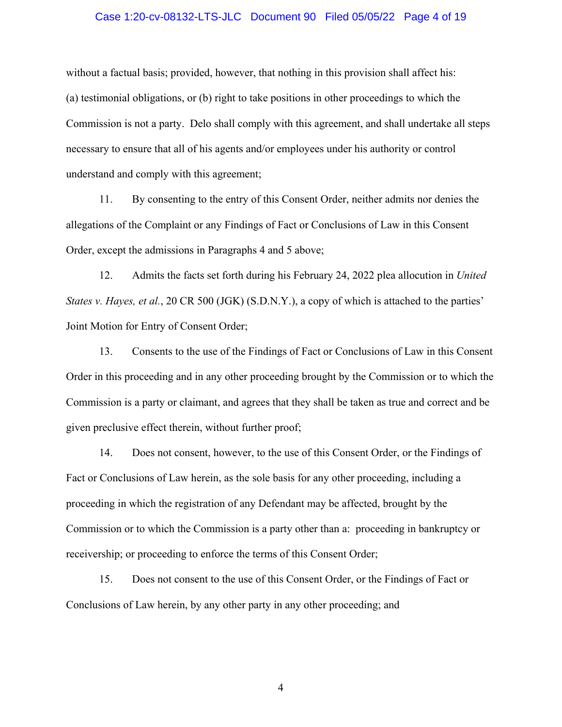### Case 1:20-cv-08132-LTS-JLC Document 90 Filed 05/05/22 Page 4 of 19

without a factual basis; provided, however, that nothing in this provision shall affect his: (a) testimonial obligations, or (b) right to take positions in other proceedings to which the Commission is not a party. Delo shall comply with this agreement, and shall undertake all steps necessary to ensure that all of his agents and/or employees under his authority or control understand and comply with this agreement;

11. By consenting to the entry of this Consent Order, neither admits nor denies the allegations of the Complaint or any Findings of Fact or Conclusions of Law in this Consent Order, except the admissions in Paragraphs 4 and 5 above;

12. Admits the facts set forth during his February 24, 2022 plea allocution in *United States v. Hayes, et al., 20 CR 500 (JGK) (S.D.N.Y.), a copy of which is attached to the parties'* Joint Motion for Entry of Consent Order;

13. Consents to the use of the Findings of Fact or Conclusions of Law in this Consent Order in this proceeding and in any other proceeding brought by the Commission or to which the Commission is a party or claimant, and agrees that they shall be taken as true and correct and be given preclusive effect therein, without further proof;

14. Does not consent, however, to the use of this Consent Order, or the Findings of Fact or Conclusions of Law herein, as the sole basis for any other proceeding, including a proceeding in which the registration of any Defendant may be affected, brought by the Commission or to which the Commission is a party other than a: proceeding in bankruptcy or receivership; or proceeding to enforce the terms of this Consent Order;

15. Does not consent to the use of this Consent Order, or the Findings of Fact or Conclusions of Law herein, by any other party in any other proceeding; and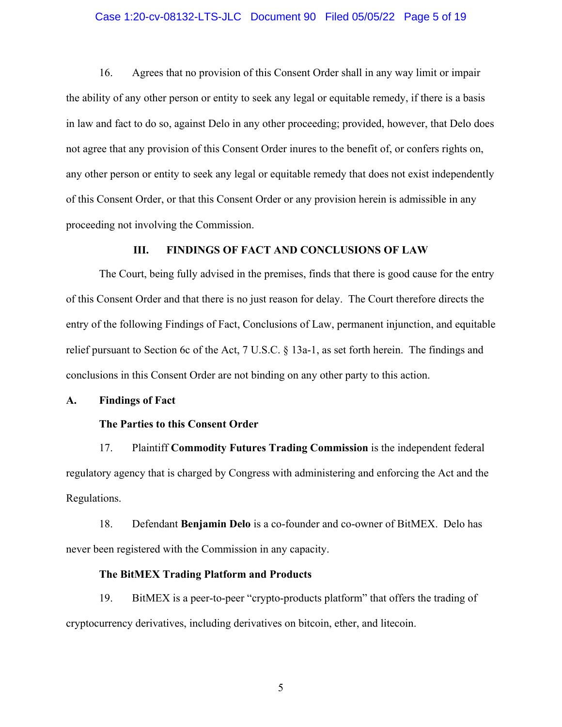### Case 1:20-cv-08132-LTS-JLC Document 90 Filed 05/05/22 Page 5 of 19

16. Agrees that no provision of this Consent Order shall in any way limit or impair the ability of any other person or entity to seek any legal or equitable remedy, if there is a basis in law and fact to do so, against Delo in any other proceeding; provided, however, that Delo does not agree that any provision of this Consent Order inures to the benefit of, or confers rights on, any other person or entity to seek any legal or equitable remedy that does not exist independently of this Consent Order, or that this Consent Order or any provision herein is admissible in any proceeding not involving the Commission.

# **III. FINDINGS OF FACT AND CONCLUSIONS OF LAW**

 The Court, being fully advised in the premises, finds that there is good cause for the entry of this Consent Order and that there is no just reason for delay. The Court therefore directs the entry of the following Findings of Fact, Conclusions of Law, permanent injunction, and equitable relief pursuant to Section 6c of the Act, 7 U.S.C. § 13a-1, as set forth herein. The findings and conclusions in this Consent Order are not binding on any other party to this action.

# **A. Findings of Fact**

# **The Parties to this Consent Order**

17. Plaintiff **Commodity Futures Trading Commission** is the independent federal regulatory agency that is charged by Congress with administering and enforcing the Act and the Regulations.

18. Defendant **Benjamin Delo** is a co-founder and co-owner of BitMEX. Delo has never been registered with the Commission in any capacity.

### **The BitMEX Trading Platform and Products**

19. BitMEX is a peer-to-peer "crypto-products platform" that offers the trading of cryptocurrency derivatives, including derivatives on bitcoin, ether, and litecoin.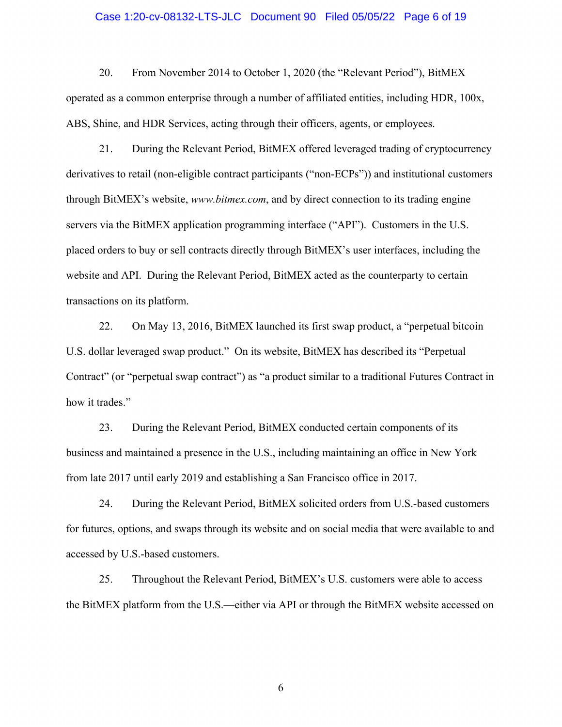#### Case 1:20-cv-08132-LTS-JLC Document 90 Filed 05/05/22 Page 6 of 19

20. From November 2014 to October 1, 2020 (the "Relevant Period"), BitMEX operated as a common enterprise through a number of affiliated entities, including HDR, 100x, ABS, Shine, and HDR Services, acting through their officers, agents, or employees.

21. During the Relevant Period, BitMEX offered leveraged trading of cryptocurrency derivatives to retail (non-eligible contract participants ("non-ECPs")) and institutional customers through BitMEX's website, *www.bitmex.com*, and by direct connection to its trading engine servers via the BitMEX application programming interface ("API"). Customers in the U.S. placed orders to buy or sell contracts directly through BitMEX's user interfaces, including the website and API. During the Relevant Period, BitMEX acted as the counterparty to certain transactions on its platform.

22. On May 13, 2016, BitMEX launched its first swap product, a "perpetual bitcoin U.S. dollar leveraged swap product." On its website, BitMEX has described its "Perpetual Contract" (or "perpetual swap contract") as "a product similar to a traditional Futures Contract in how it trades."

23. During the Relevant Period, BitMEX conducted certain components of its business and maintained a presence in the U.S., including maintaining an office in New York from late 2017 until early 2019 and establishing a San Francisco office in 2017.

24. During the Relevant Period, BitMEX solicited orders from U.S.-based customers for futures, options, and swaps through its website and on social media that were available to and accessed by U.S.-based customers.

25. Throughout the Relevant Period, BitMEX's U.S. customers were able to access the BitMEX platform from the U.S.—either via API or through the BitMEX website accessed on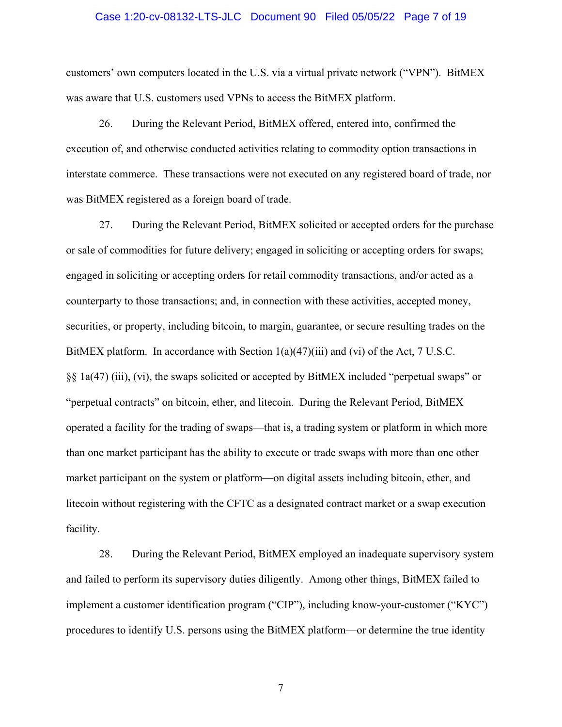#### Case 1:20-cv-08132-LTS-JLC Document 90 Filed 05/05/22 Page 7 of 19

customers' own computers located in the U.S. via a virtual private network ("VPN"). BitMEX was aware that U.S. customers used VPNs to access the BitMEX platform.

26. During the Relevant Period, BitMEX offered, entered into, confirmed the execution of, and otherwise conducted activities relating to commodity option transactions in interstate commerce. These transactions were not executed on any registered board of trade, nor was BitMEX registered as a foreign board of trade.

27. During the Relevant Period, BitMEX solicited or accepted orders for the purchase or sale of commodities for future delivery; engaged in soliciting or accepting orders for swaps; engaged in soliciting or accepting orders for retail commodity transactions, and/or acted as a counterparty to those transactions; and, in connection with these activities, accepted money, securities, or property, including bitcoin, to margin, guarantee, or secure resulting trades on the BitMEX platform. In accordance with Section  $1(a)(47)(iii)$  and (vi) of the Act, 7 U.S.C. §§ 1a(47) (iii), (vi), the swaps solicited or accepted by BitMEX included "perpetual swaps" or "perpetual contracts" on bitcoin, ether, and litecoin. During the Relevant Period, BitMEX operated a facility for the trading of swaps—that is, a trading system or platform in which more than one market participant has the ability to execute or trade swaps with more than one other market participant on the system or platform—on digital assets including bitcoin, ether, and litecoin without registering with the CFTC as a designated contract market or a swap execution facility.

28. During the Relevant Period, BitMEX employed an inadequate supervisory system and failed to perform its supervisory duties diligently. Among other things, BitMEX failed to implement a customer identification program ("CIP"), including know-your-customer ("KYC") procedures to identify U.S. persons using the BitMEX platform—or determine the true identity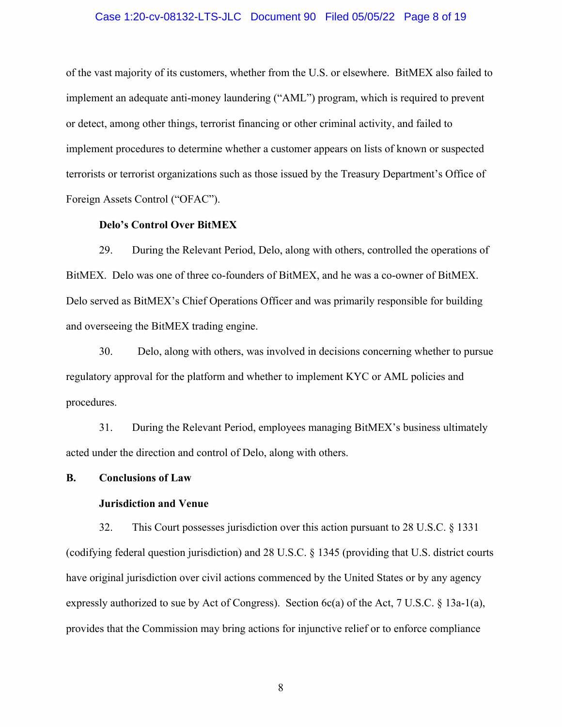### Case 1:20-cv-08132-LTS-JLC Document 90 Filed 05/05/22 Page 8 of 19

of the vast majority of its customers, whether from the U.S. or elsewhere. BitMEX also failed to implement an adequate anti-money laundering ("AML") program, which is required to prevent or detect, among other things, terrorist financing or other criminal activity, and failed to implement procedures to determine whether a customer appears on lists of known or suspected terrorists or terrorist organizations such as those issued by the Treasury Department's Office of Foreign Assets Control ("OFAC").

### **Delo's Control Over BitMEX**

29. During the Relevant Period, Delo, along with others, controlled the operations of BitMEX. Delo was one of three co-founders of BitMEX, and he was a co-owner of BitMEX. Delo served as BitMEX's Chief Operations Officer and was primarily responsible for building and overseeing the BitMEX trading engine.

30. Delo, along with others, was involved in decisions concerning whether to pursue regulatory approval for the platform and whether to implement KYC or AML policies and procedures.

31. During the Relevant Period, employees managing BitMEX's business ultimately acted under the direction and control of Delo, along with others.

#### **B. Conclusions of Law**

# **Jurisdiction and Venue**

32. This Court possesses jurisdiction over this action pursuant to 28 U.S.C. § 1331 (codifying federal question jurisdiction) and 28 U.S.C. § 1345 (providing that U.S. district courts have original jurisdiction over civil actions commenced by the United States or by any agency expressly authorized to sue by Act of Congress). Section 6c(a) of the Act, 7 U.S.C. § 13a-1(a), provides that the Commission may bring actions for injunctive relief or to enforce compliance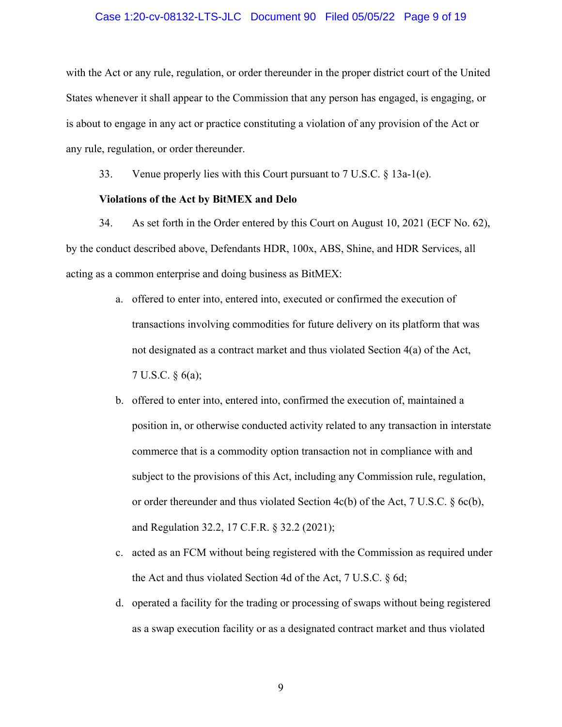### Case 1:20-cv-08132-LTS-JLC Document 90 Filed 05/05/22 Page 9 of 19

with the Act or any rule, regulation, or order thereunder in the proper district court of the United States whenever it shall appear to the Commission that any person has engaged, is engaging, or is about to engage in any act or practice constituting a violation of any provision of the Act or any rule, regulation, or order thereunder.

33. Venue properly lies with this Court pursuant to 7 U.S.C. § 13a-1(e).

### **Violations of the Act by BitMEX and Delo**

34. As set forth in the Order entered by this Court on August 10, 2021 (ECF No. 62), by the conduct described above, Defendants HDR, 100x, ABS, Shine, and HDR Services, all acting as a common enterprise and doing business as BitMEX:

- a. offered to enter into, entered into, executed or confirmed the execution of transactions involving commodities for future delivery on its platform that was not designated as a contract market and thus violated Section 4(a) of the Act, 7 U.S.C. § 6(a);
- b. offered to enter into, entered into, confirmed the execution of, maintained a position in, or otherwise conducted activity related to any transaction in interstate commerce that is a commodity option transaction not in compliance with and subject to the provisions of this Act, including any Commission rule, regulation, or order thereunder and thus violated Section  $4c(b)$  of the Act, 7 U.S.C. § 6c(b), and Regulation 32.2, 17 C.F.R. § 32.2 (2021);
- c. acted as an FCM without being registered with the Commission as required under the Act and thus violated Section 4d of the Act, 7 U.S.C. § 6d;
- d. operated a facility for the trading or processing of swaps without being registered as a swap execution facility or as a designated contract market and thus violated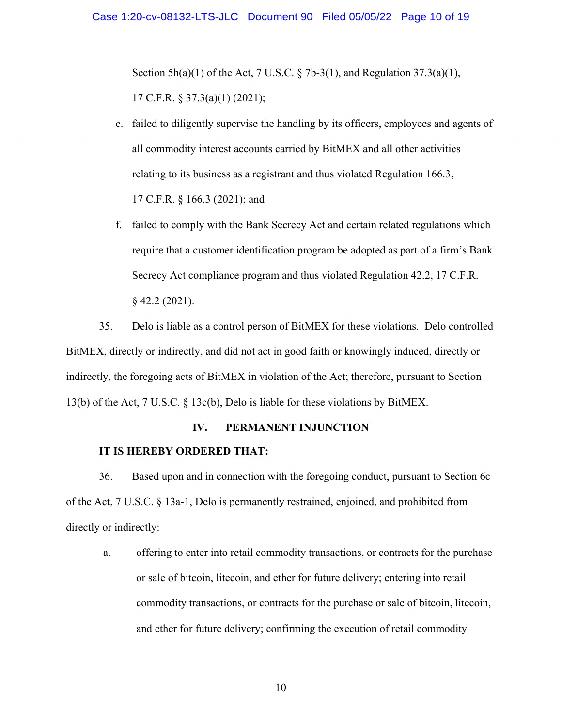Section  $5h(a)(1)$  of the Act, 7 U.S.C. § 7b-3(1), and Regulation 37.3(a)(1), 17 C.F.R. § 37.3(a)(1) (2021);

- e. failed to diligently supervise the handling by its officers, employees and agents of all commodity interest accounts carried by BitMEX and all other activities relating to its business as a registrant and thus violated Regulation 166.3, 17 C.F.R. § 166.3 (2021); and
- f. failed to comply with the Bank Secrecy Act and certain related regulations which require that a customer identification program be adopted as part of a firm's Bank Secrecy Act compliance program and thus violated Regulation 42.2, 17 C.F.R. § 42.2 (2021).

35. Delo is liable as a control person of BitMEX for these violations. Delo controlled BitMEX, directly or indirectly, and did not act in good faith or knowingly induced, directly or indirectly, the foregoing acts of BitMEX in violation of the Act; therefore, pursuant to Section 13(b) of the Act, 7 U.S.C. § 13c(b), Delo is liable for these violations by BitMEX.

# **IV. PERMANENT INJUNCTION**

### **IT IS HEREBY ORDERED THAT:**

36. Based upon and in connection with the foregoing conduct, pursuant to Section 6c of the Act, 7 U.S.C. § 13a-1, Delo is permanently restrained, enjoined, and prohibited from directly or indirectly:

a. offering to enter into retail commodity transactions, or contracts for the purchase or sale of bitcoin, litecoin, and ether for future delivery; entering into retail commodity transactions, or contracts for the purchase or sale of bitcoin, litecoin, and ether for future delivery; confirming the execution of retail commodity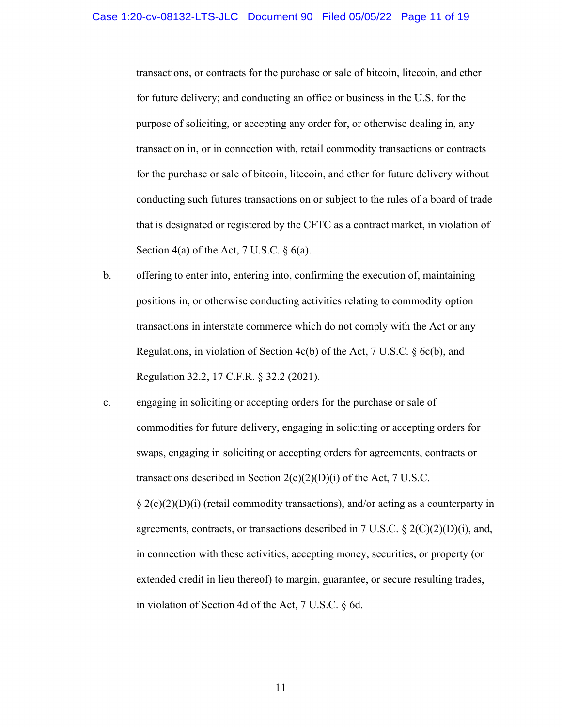transactions, or contracts for the purchase or sale of bitcoin, litecoin, and ether for future delivery; and conducting an office or business in the U.S. for the purpose of soliciting, or accepting any order for, or otherwise dealing in, any transaction in, or in connection with, retail commodity transactions or contracts for the purchase or sale of bitcoin, litecoin, and ether for future delivery without conducting such futures transactions on or subject to the rules of a board of trade that is designated or registered by the CFTC as a contract market, in violation of Section 4(a) of the Act, 7 U.S.C.  $\S$  6(a).

- b. offering to enter into, entering into, confirming the execution of, maintaining positions in, or otherwise conducting activities relating to commodity option transactions in interstate commerce which do not comply with the Act or any Regulations, in violation of Section 4c(b) of the Act, 7 U.S.C. § 6c(b), and Regulation 32.2, 17 C.F.R. § 32.2 (2021).
- c. engaging in soliciting or accepting orders for the purchase or sale of commodities for future delivery, engaging in soliciting or accepting orders for swaps, engaging in soliciting or accepting orders for agreements, contracts or transactions described in Section  $2(c)(2)(D)(i)$  of the Act, 7 U.S.C.  $\S 2(c)(2)(D)(i)$  (retail commodity transactions), and/or acting as a counterparty in agreements, contracts, or transactions described in 7 U.S.C.  $\S 2(C)(2)(D)(i)$ , and, in connection with these activities, accepting money, securities, or property (or extended credit in lieu thereof) to margin, guarantee, or secure resulting trades, in violation of Section 4d of the Act, 7 U.S.C. § 6d.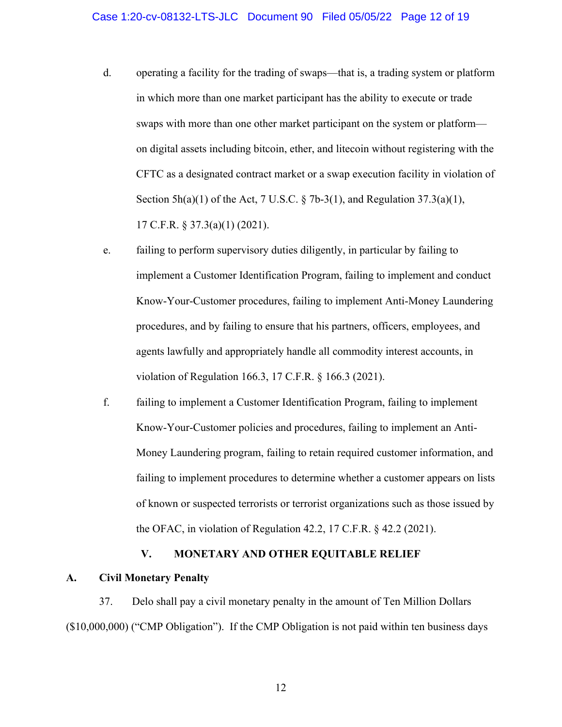- d. operating a facility for the trading of swaps—that is, a trading system or platform in which more than one market participant has the ability to execute or trade swaps with more than one other market participant on the system or platform on digital assets including bitcoin, ether, and litecoin without registering with the CFTC as a designated contract market or a swap execution facility in violation of Section  $5h(a)(1)$  of the Act, 7 U.S.C. § 7b-3(1), and Regulation 37.3(a)(1), 17 C.F.R. § 37.3(a)(1) (2021).
- e. failing to perform supervisory duties diligently, in particular by failing to implement a Customer Identification Program, failing to implement and conduct Know-Your-Customer procedures, failing to implement Anti-Money Laundering procedures, and by failing to ensure that his partners, officers, employees, and agents lawfully and appropriately handle all commodity interest accounts, in violation of Regulation 166.3, 17 C.F.R. § 166.3 (2021).
- f. failing to implement a Customer Identification Program, failing to implement Know-Your-Customer policies and procedures, failing to implement an Anti-Money Laundering program, failing to retain required customer information, and failing to implement procedures to determine whether a customer appears on lists of known or suspected terrorists or terrorist organizations such as those issued by the OFAC, in violation of Regulation 42.2, 17 C.F.R. § 42.2 (2021).

# **V. MONETARY AND OTHER EQUITABLE RELIEF**

# **A. Civil Monetary Penalty**

37. Delo shall pay a civil monetary penalty in the amount of Ten Million Dollars (\$10,000,000) ("CMP Obligation"). If the CMP Obligation is not paid within ten business days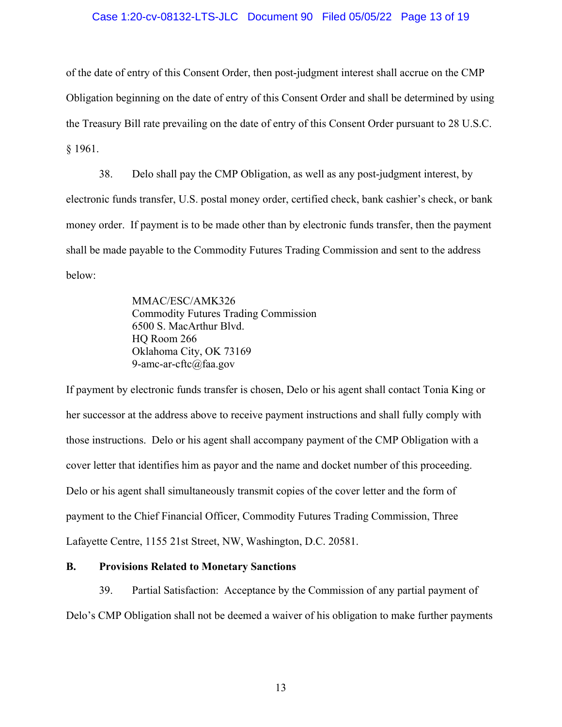### Case 1:20-cv-08132-LTS-JLC Document 90 Filed 05/05/22 Page 13 of 19

of the date of entry of this Consent Order, then post-judgment interest shall accrue on the CMP Obligation beginning on the date of entry of this Consent Order and shall be determined by using the Treasury Bill rate prevailing on the date of entry of this Consent Order pursuant to 28 U.S.C. § 1961.

38. Delo shall pay the CMP Obligation, as well as any post-judgment interest, by electronic funds transfer, U.S. postal money order, certified check, bank cashier's check, or bank money order. If payment is to be made other than by electronic funds transfer, then the payment shall be made payable to the Commodity Futures Trading Commission and sent to the address below:

> MMAC/ESC/AMK326 Commodity Futures Trading Commission 6500 S. MacArthur Blvd. HQ Room 266 Oklahoma City, OK 73169 9-amc-ar-cftc@faa.gov

If payment by electronic funds transfer is chosen, Delo or his agent shall contact Tonia King or her successor at the address above to receive payment instructions and shall fully comply with those instructions. Delo or his agent shall accompany payment of the CMP Obligation with a cover letter that identifies him as payor and the name and docket number of this proceeding. Delo or his agent shall simultaneously transmit copies of the cover letter and the form of payment to the Chief Financial Officer, Commodity Futures Trading Commission, Three Lafayette Centre, 1155 21st Street, NW, Washington, D.C. 20581.

# **B. Provisions Related to Monetary Sanctions**

39. Partial Satisfaction: Acceptance by the Commission of any partial payment of Delo's CMP Obligation shall not be deemed a waiver of his obligation to make further payments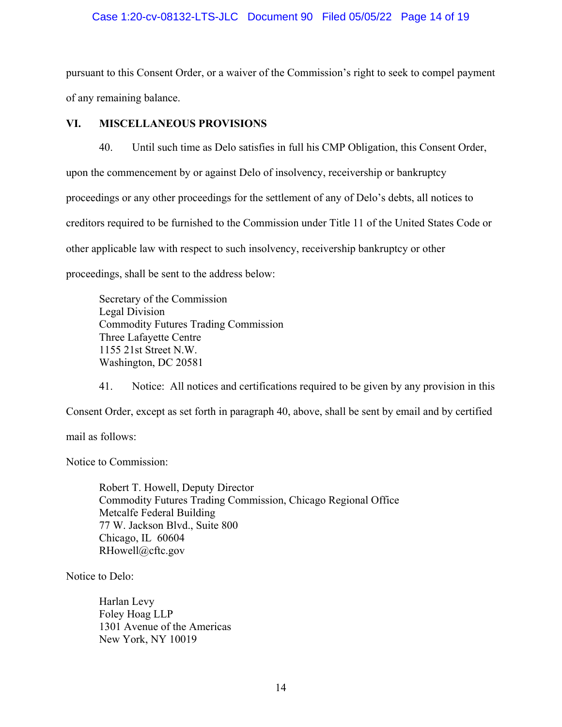# Case 1:20-cv-08132-LTS-JLC Document 90 Filed 05/05/22 Page 14 of 19

pursuant to this Consent Order, or a waiver of the Commission's right to seek to compel payment of any remaining balance.

# **VI. MISCELLANEOUS PROVISIONS**

40. Until such time as Delo satisfies in full his CMP Obligation, this Consent Order, upon the commencement by or against Delo of insolvency, receivership or bankruptcy proceedings or any other proceedings for the settlement of any of Delo's debts, all notices to creditors required to be furnished to the Commission under Title 11 of the United States Code or other applicable law with respect to such insolvency, receivership bankruptcy or other proceedings, shall be sent to the address below:

Secretary of the Commission Legal Division Commodity Futures Trading Commission Three Lafayette Centre 1155 21st Street N.W. Washington, DC 20581

41. Notice: All notices and certifications required to be given by any provision in this Consent Order, except as set forth in paragraph 40, above, shall be sent by email and by certified

mail as follows:

Notice to Commission:

Robert T. Howell, Deputy Director Commodity Futures Trading Commission, Chicago Regional Office Metcalfe Federal Building 77 W. Jackson Blvd., Suite 800 Chicago, IL 60604 RHowell@cftc.gov

Notice to Delo:

Harlan Levy Foley Hoag LLP 1301 Avenue of the Americas New York, NY 10019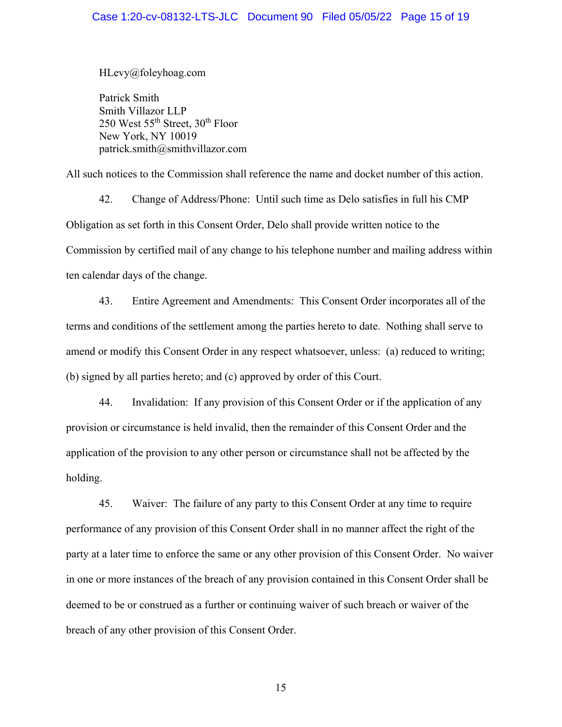HLevy@foleyhoag.com

 Patrick Smith Smith Villazor LLP 250 West  $55<sup>th</sup>$  Street,  $30<sup>th</sup>$  Floor New York, NY 10019 patrick.smith@smithvillazor.com

All such notices to the Commission shall reference the name and docket number of this action.

42. Change of Address/Phone: Until such time as Delo satisfies in full his CMP Obligation as set forth in this Consent Order, Delo shall provide written notice to the Commission by certified mail of any change to his telephone number and mailing address within ten calendar days of the change.

43. Entire Agreement and Amendments: This Consent Order incorporates all of the terms and conditions of the settlement among the parties hereto to date. Nothing shall serve to amend or modify this Consent Order in any respect whatsoever, unless: (a) reduced to writing; (b) signed by all parties hereto; and (c) approved by order of this Court.

44. Invalidation: If any provision of this Consent Order or if the application of any provision or circumstance is held invalid, then the remainder of this Consent Order and the application of the provision to any other person or circumstance shall not be affected by the holding.

45. Waiver: The failure of any party to this Consent Order at any time to require performance of any provision of this Consent Order shall in no manner affect the right of the party at a later time to enforce the same or any other provision of this Consent Order. No waiver in one or more instances of the breach of any provision contained in this Consent Order shall be deemed to be or construed as a further or continuing waiver of such breach or waiver of the breach of any other provision of this Consent Order.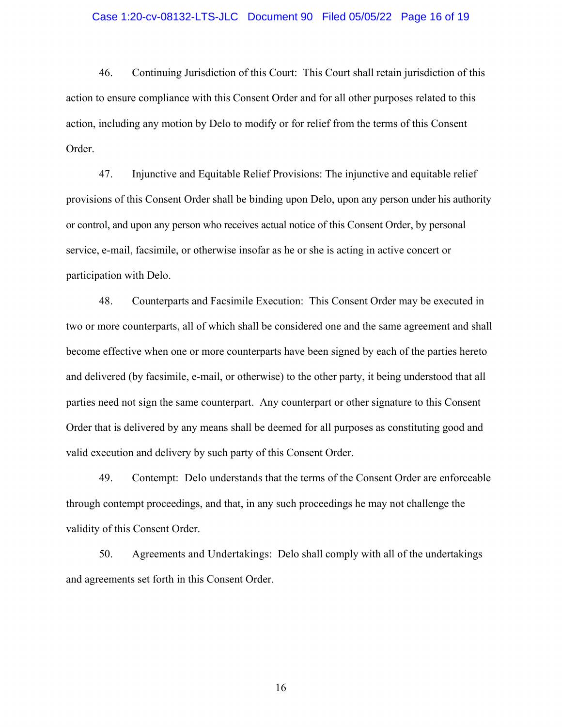#### Case 1:20-cv-08132-LTS-JLC Document 90 Filed 05/05/22 Page 16 of 19

46. Continuing Jurisdiction of this Court: This Court shall retain jurisdiction of this action to ensure compliance with this Consent Order and for all other purposes related to this action, including any motion by Delo to modify or for relief from the terms of this Consent Order.

47. Injunctive and Equitable Relief Provisions: The injunctive and equitable relief provisions of this Consent Order shall be binding upon Delo, upon any person under his authority or control, and upon any person who receives actual notice of this Consent Order, by personal service, e-mail, facsimile, or otherwise insofar as he or she is acting in active concert or participation with Delo.

48. Counterparts and Facsimile Execution: This Consent Order may be executed in two or more counterparts, all of which shall be considered one and the same agreement and shall become effective when one or more counterparts have been signed by each of the parties hereto and delivered (by facsimile, e-mail, or otherwise) to the other party, it being understood that all parties need not sign the same counterpart. Any counterpart or other signature to this Consent Order that is delivered by any means shall be deemed for all purposes as constituting good and valid execution and delivery by such party of this Consent Order.

49. Contempt: Delo understands that the terms of the Consent Order are enforceable through contempt proceedings, and that, in any such proceedings he may not challenge the validity of this Consent Order.

50. Agreements and Undertakings: Delo shall comply with all of the undertakings and agreements set forth in this Consent Order.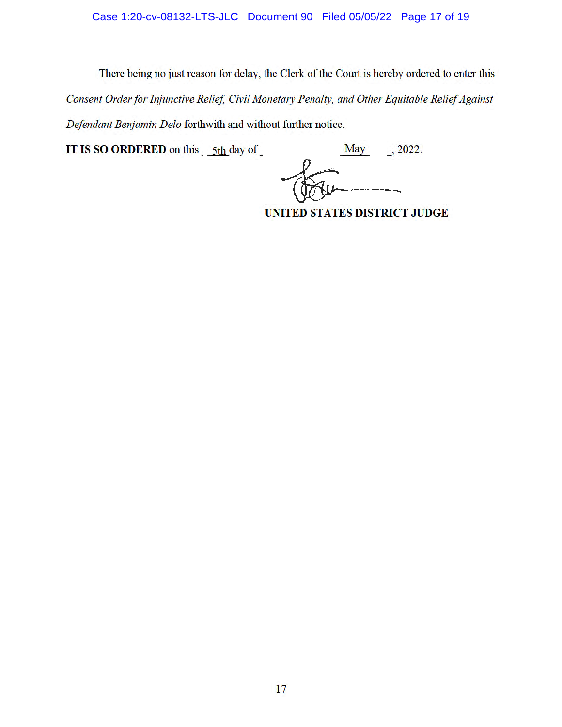# Case 1:20-cv-08132-LTS-JLC Document 90 Filed 05/05/22 Page 17 of 19

There being no just reason for delay, the Clerk of the Court is hereby ordered to enter this *Consent Order for Injunctive Relief, Civil Monetary Penalty, and Other Equitable Relief Against Defendant Benjamin Delo* forthwith and without further notice.

**IT IS SO ORDERED** on this  $-5th$  day of May  $-$ , 2022.

**UNITED STATES DISTRICT JUDGE**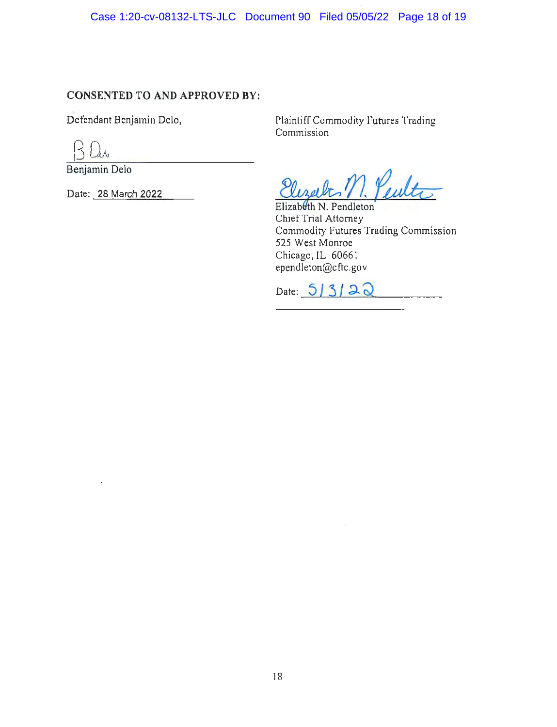Case 1:20-cv-08132-LTS-JLC Document 90 Filed 05/05/22 Page 18 of 19

# **CONSENTED TO AND APPROVED BY:**

Defendant Benjamin Delo,

kΛ

Benjamin Delo

Date: 28 March 2022

Plaintiff Commodity Futures Trading Commission

Elizabeth N. Pendleton Chief Trial Attorney Commodity Futures Trading Commission 525 West Monroe Chicago, IL 60661 ependleton@cftc.gov

Date: **3** } *5* **<sup>J</sup>-9-** *Q*